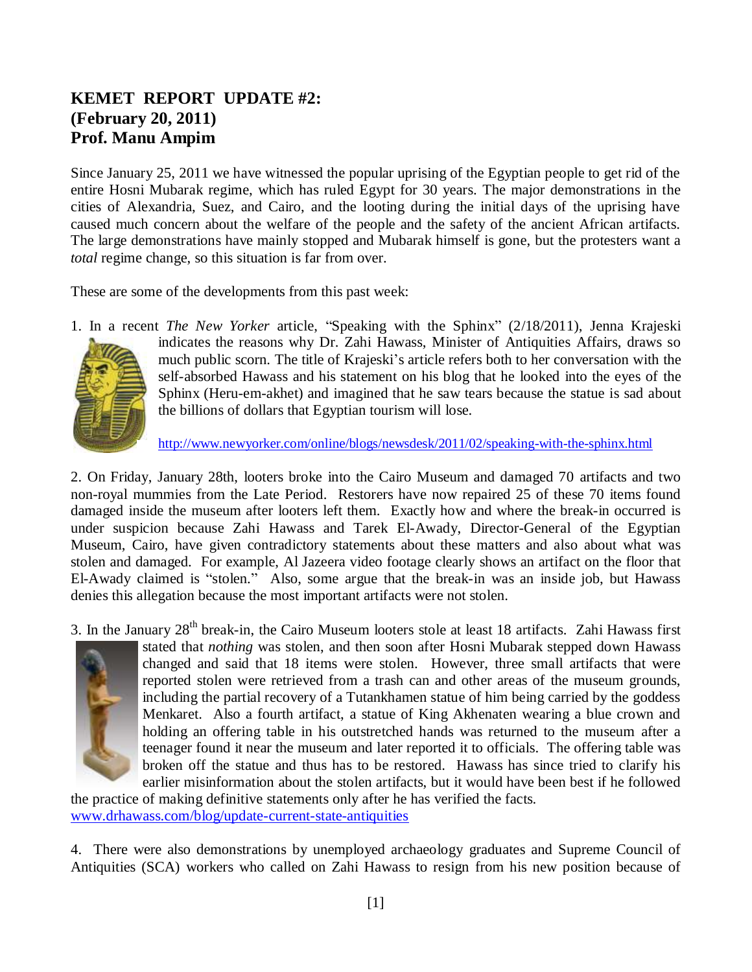## **KEMET REPORT UPDATE #2: (February 20, 2011) Prof. Manu Ampim**

Since January 25, 2011 we have witnessed the popular uprising of the Egyptian people to get rid of the entire Hosni Mubarak regime, which has ruled Egypt for 30 years. The major demonstrations in the cities of Alexandria, Suez, and Cairo, and the looting during the initial days of the uprising have caused much concern about the welfare of the people and the safety of the ancient African artifacts. The large demonstrations have mainly stopped and Mubarak himself is gone, but the protesters want a *total* regime change, so this situation is far from over.

These are some of the developments from this past week:

1. In a recent *The New Yorker* article, "Speaking with the Sphinx" (2/18/2011), Jenna Krajeski indicates the reasons why Dr. Zahi Hawass, Minister of Antiquities Affairs, draws so much public scorn. The title of Krajeski"s article refers both to her conversation with the self-absorbed Hawass and his statement on his blog that he looked into the eyes of the Sphinx (Heru-em-akhet) and imagined that he saw tears because the statue is sad about the billions of dollars that Egyptian tourism will lose.

<http://www.newyorker.com/online/blogs/newsdesk/2011/02/speaking-with-the-sphinx.html>

2. On Friday, January 28th, looters broke into the Cairo Museum and damaged 70 artifacts and two non-royal mummies from the Late Period. Restorers have now repaired 25 of these 70 items found damaged inside the museum after looters left them. Exactly how and where the break-in occurred is under suspicion because Zahi Hawass and Tarek El-Awady, Director-General of the Egyptian Museum, Cairo, have given contradictory statements about these matters and also about what was stolen and damaged. For example, Al Jazeera video footage clearly shows an artifact on the floor that El-Awady claimed is "stolen." Also, some argue that the break-in was an inside job, but Hawass denies this allegation because the most important artifacts were not stolen.

3. In the January  $28<sup>th</sup>$  break-in, the Cairo Museum looters stole at least 18 artifacts. Zahi Hawass first



stated that *nothing* was stolen, and then soon after Hosni Mubarak stepped down Hawass changed and said that 18 items were stolen. However, three small artifacts that were reported stolen were retrieved from a trash can and other areas of the museum grounds, including the partial recovery of a Tutankhamen statue of him being carried by the goddess Menkaret. Also a fourth artifact, a statue of King Akhenaten wearing a blue crown and holding an offering table in his outstretched hands was returned to the museum after a teenager found it near the museum and later reported it to officials. The offering table was broken off the statue and thus has to be restored. Hawass has since tried to clarify his earlier misinformation about the stolen artifacts, but it would have been best if he followed

the practice of making definitive statements only after he has verified the facts. [www.drhawass.com/blog/update-current-state-antiquities](http://www.drhawass.com/blog/update-current-state-antiquities)

4. There were also demonstrations by unemployed archaeology graduates and Supreme Council of Antiquities (SCA) workers who called on Zahi Hawass to resign from his new position because of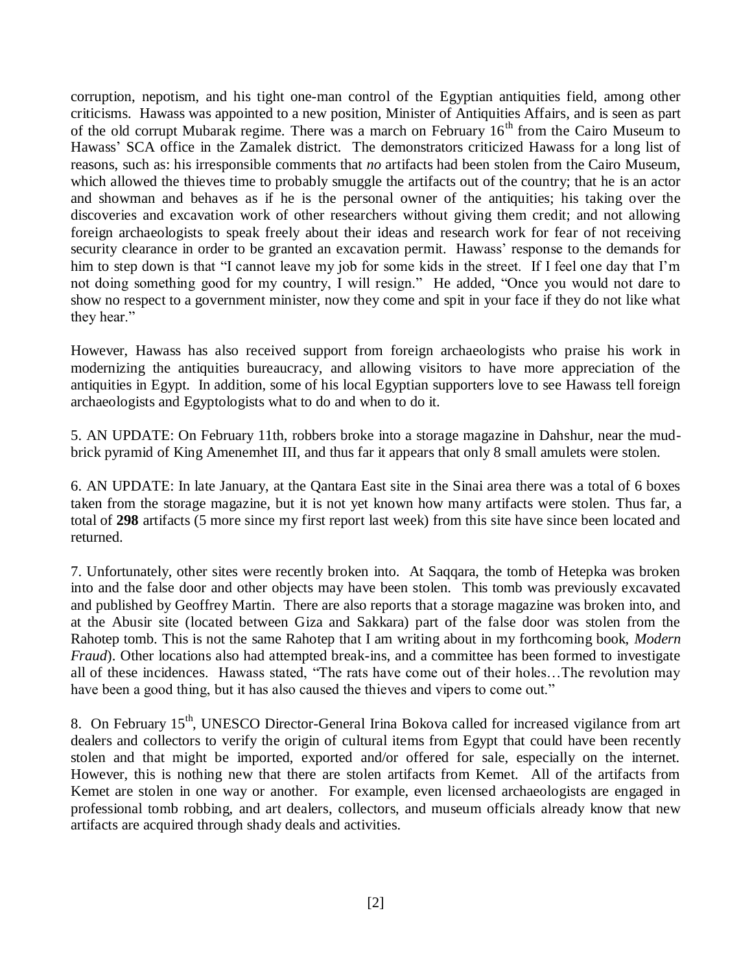corruption, nepotism, and his tight one-man control of the Egyptian antiquities field, among other criticisms. Hawass was appointed to a new position, Minister of Antiquities Affairs, and is seen as part of the old corrupt Mubarak regime. There was a march on February  $16<sup>th</sup>$  from the Cairo Museum to Hawass" SCA office in the Zamalek district. The demonstrators criticized Hawass for a long list of reasons, such as: his irresponsible comments that *no* artifacts had been stolen from the Cairo Museum, which allowed the thieves time to probably smuggle the artifacts out of the country; that he is an actor and showman and behaves as if he is the personal owner of the antiquities; his taking over the discoveries and excavation work of other researchers without giving them credit; and not allowing foreign archaeologists to speak freely about their ideas and research work for fear of not receiving security clearance in order to be granted an excavation permit. Hawass' response to the demands for him to step down is that "I cannot leave my job for some kids in the street. If I feel one day that I'm not doing something good for my country, I will resign." He added, "Once you would not dare to show no respect to a government minister, now they come and spit in your face if they do not like what they hear."

However, Hawass has also received support from foreign archaeologists who praise his work in modernizing the antiquities bureaucracy, and allowing visitors to have more appreciation of the antiquities in Egypt. In addition, some of his local Egyptian supporters love to see Hawass tell foreign archaeologists and Egyptologists what to do and when to do it.

5. AN UPDATE: On February 11th, robbers broke into a storage magazine in Dahshur, near the mudbrick pyramid of King Amenemhet III, and thus far it appears that only 8 small amulets were stolen.

6. AN UPDATE: In late January, at the Qantara East site in the Sinai area there was a total of 6 boxes taken from the storage magazine, but it is not yet known how many artifacts were stolen. Thus far, a total of **298** artifacts (5 more since my first report last week) from this site have since been located and returned.

7. Unfortunately, other sites were recently broken into. At Saqqara, the tomb of Hetepka was broken into and the false door and other objects may have been stolen. This tomb was previously excavated and published by Geoffrey Martin. There are also reports that a storage magazine was broken into, and at the Abusir site (located between Giza and Sakkara) part of the false door was stolen from the Rahotep tomb. This is not the same Rahotep that I am writing about in my forthcoming book, *Modern Fraud*). Other locations also had attempted break-ins, and a committee has been formed to investigate all of these incidences. Hawass stated, "The rats have come out of their holes…The revolution may have been a good thing, but it has also caused the thieves and vipers to come out."

8. On February 15<sup>th</sup>, UNESCO Director-General Irina Bokova called for increased vigilance from art dealers and collectors to verify the origin of cultural items from Egypt that could have been recently stolen and that might be imported, exported and/or offered for sale, especially on the internet. However, this is nothing new that there are stolen artifacts from Kemet. All of the artifacts from Kemet are stolen in one way or another. For example, even licensed archaeologists are engaged in professional tomb robbing, and art dealers, collectors, and museum officials already know that new artifacts are acquired through shady deals and activities.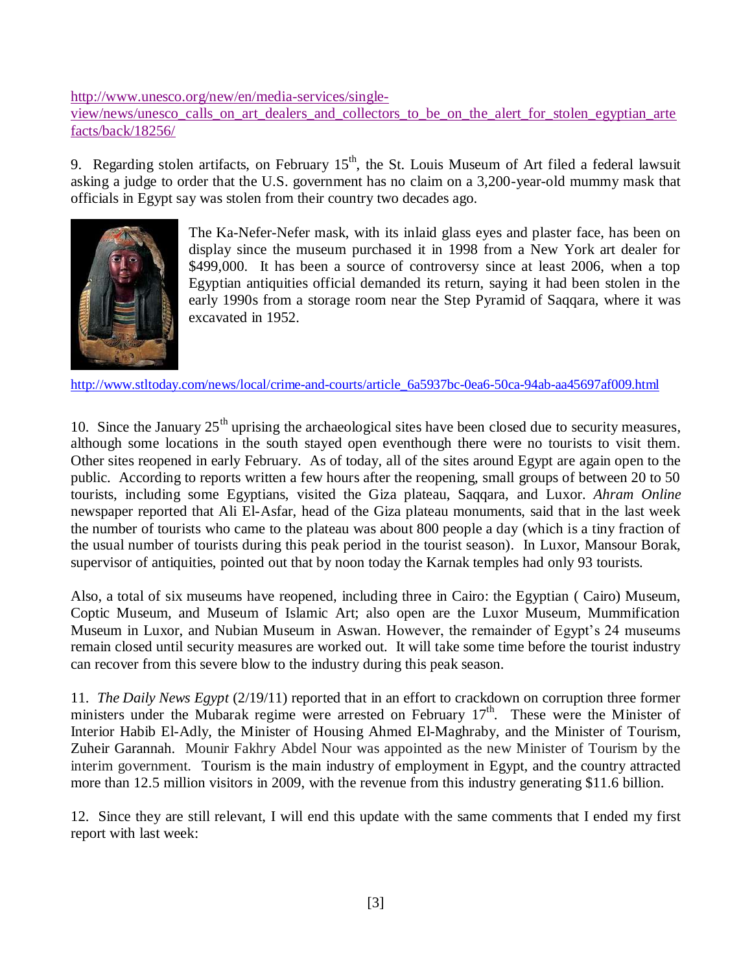[http://www.unesco.org/new/en/media-services/single-](http://www.unesco.org/new/en/media-services/single-view/news/unesco_calls_on_art_dealers_and_collectors_to_be_on_the_alert_for_stolen_egyptian_artefacts/back/18256/)

[view/news/unesco\\_calls\\_on\\_art\\_dealers\\_and\\_collectors\\_to\\_be\\_on\\_the\\_alert\\_for\\_stolen\\_egyptian\\_arte](http://www.unesco.org/new/en/media-services/single-view/news/unesco_calls_on_art_dealers_and_collectors_to_be_on_the_alert_for_stolen_egyptian_artefacts/back/18256/) [facts/back/18256/](http://www.unesco.org/new/en/media-services/single-view/news/unesco_calls_on_art_dealers_and_collectors_to_be_on_the_alert_for_stolen_egyptian_artefacts/back/18256/)

9. Regarding stolen artifacts, on February  $15<sup>th</sup>$ , the St. Louis Museum of Art filed a federal lawsuit asking a judge to order that the U.S. government has no claim on a 3,200-year-old mummy mask that officials in Egypt say was stolen from their country two decades ago.



The Ka-Nefer-Nefer mask, with its inlaid glass eyes and plaster face, has been on display since the museum purchased it in 1998 from a New York art dealer for \$499,000. It has been a source of controversy since at least 2006, when a top Egyptian antiquities official demanded its return, saying it had been stolen in the early 1990s from a storage room near the Step Pyramid of Saqqara, where it was excavated in 1952.

[http://www.stltoday.com/news/local/crime-and-courts/article\\_6a5937bc-0ea6-50ca-94ab-aa45697af009.html](http://www.stltoday.com/news/local/crime-and-courts/article_6a5937bc-0ea6-50ca-94ab-aa45697af009.html)

10. Since the January  $25<sup>th</sup>$  uprising the archaeological sites have been closed due to security measures, although some locations in the south stayed open eventhough there were no tourists to visit them. Other sites reopened in early February. As of today, all of the sites around Egypt are again open to the public. According to reports written a few hours after the reopening, small groups of between 20 to 50 tourists, including some Egyptians, visited the Giza plateau, Saqqara, and Luxor. *Ahram Online* newspaper reported that Ali El-Asfar, head of the Giza plateau monuments, said that in the last week the number of tourists who came to the plateau was about 800 people a day (which is a tiny fraction of the usual number of tourists during this peak period in the tourist season). In Luxor, Mansour Borak, supervisor of antiquities, pointed out that by noon today the Karnak temples had only 93 tourists.

Also, a total of six museums have reopened, including three in Cairo: the Egyptian ( Cairo) Museum, Coptic Museum, and Museum of Islamic Art; also open are the Luxor Museum, Mummification Museum in Luxor, and Nubian Museum in Aswan. However, the remainder of Egypt"s 24 museums remain closed until security measures are worked out. It will take some time before the tourist industry can recover from this severe blow to the industry during this peak season.

11. *The Daily News Egypt* (2/19/11) reported that in an effort to crackdown on corruption three former ministers under the Mubarak regime were arrested on February 17<sup>th</sup>. These were the Minister of Interior Habib El-Adly, the Minister of Housing Ahmed El-Maghraby, and the Minister of Tourism, Zuheir Garannah. Mounir Fakhry Abdel Nour was appointed as the new Minister of Tourism by the interim government. Tourism is the main industry of employment in Egypt, and the country attracted more than 12.5 million visitors in 2009, with the revenue from this industry generating \$11.6 billion.

12. Since they are still relevant, I will end this update with the same comments that I ended my first report with last week: